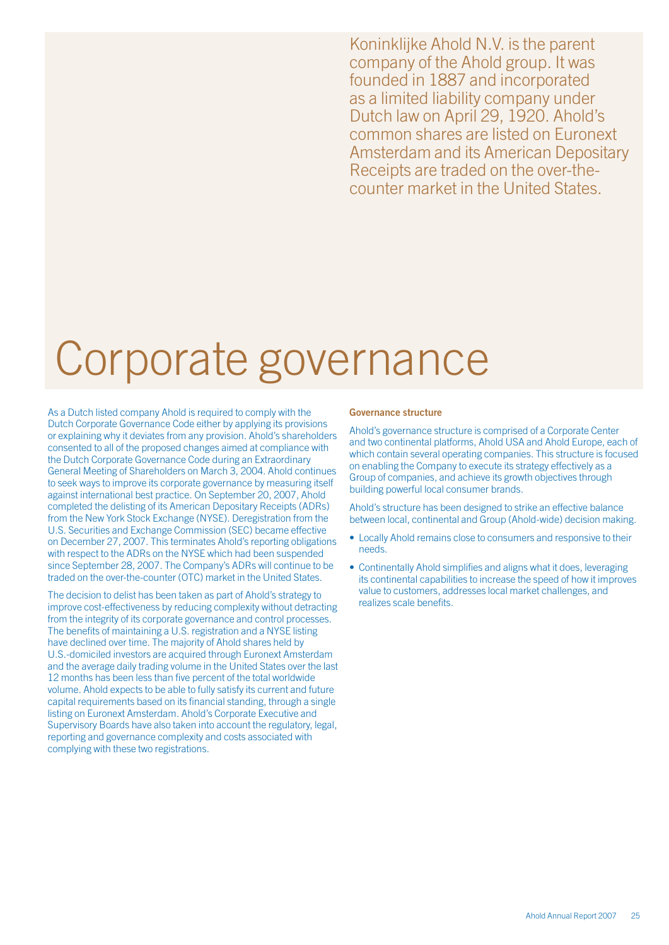Koninklijke Ahold N.V. is the parent company of the Ahold group. It was founded in 1887 and incorporated as a limited liability company under Dutch law on April 29, 1920. Ahold's common shares are listed on Euronext Amsterdam and its American Depositary Receipts are traded on the over-thecounter market in the United States.

# Corporate governance

As a Dutch listed company Ahold is required to comply with the Dutch Corporate Governance Code either by applying its provisions or explaining why it deviates from any provision. Ahold's shareholders consented to all of the proposed changes aimed at compliance with the Dutch Corporate Governance Code during an Extraordinary General Meeting of Shareholders on March 3, 2004. Ahold continues to seek ways to improve its corporate governance by measuring itself against international best practice. On September 20, 2007, Ahold completed the delisting of its American Depositary Receipts (ADRs) from the New York Stock Exchange (NYSE). Deregistration from the U.S. Securities and Exchange Commission (SEC) became effective on December 27, 2007. This terminates Ahold's reporting obligations with respect to the ADRs on the NYSE which had been suspended since September 28, 2007. The Company's ADRs will continue to be traded on the over-the-counter (OTC) market in the United States.

The decision to delist has been taken as part of Ahold's strategy to improve cost-effectiveness by reducing complexity without detracting from the integrity of its corporate governance and control processes. The benefits of maintaining a U.S. registration and a NYSE listing have declined over time. The majority of Ahold shares held by U.S.-domiciled investors are acquired through Euronext Amsterdam and the average daily trading volume in the United States over the last 12 months has been less than five percent of the total worldwide volume. Ahold expects to be able to fully satisfy its current and future capital requirements based on its financial standing, through a single listing on Euronext Amsterdam. Ahold's Corporate Executive and Supervisory Boards have also taken into account the regulatory, legal, reporting and governance complexity and costs associated with complying with these two registrations.

# Governance structure

Ahold's governance structure is comprised of a Corporate Center and two continental platforms, Ahold USA and Ahold Europe, each of which contain several operating companies. This structure is focused on enabling the Company to execute its strategy effectively as a Group of companies, and achieve its growth objectives through building powerful local consumer brands.

Ahold's structure has been designed to strike an effective balance between local, continental and Group (Ahold-wide) decision making.

- Locally Ahold remains close to consumers and responsive to their needs.
- Continentally Ahold simplifies and aligns what it does, leveraging its continental capabilities to increase the speed of how it improves value to customers, addresses local market challenges, and realizes scale benefits.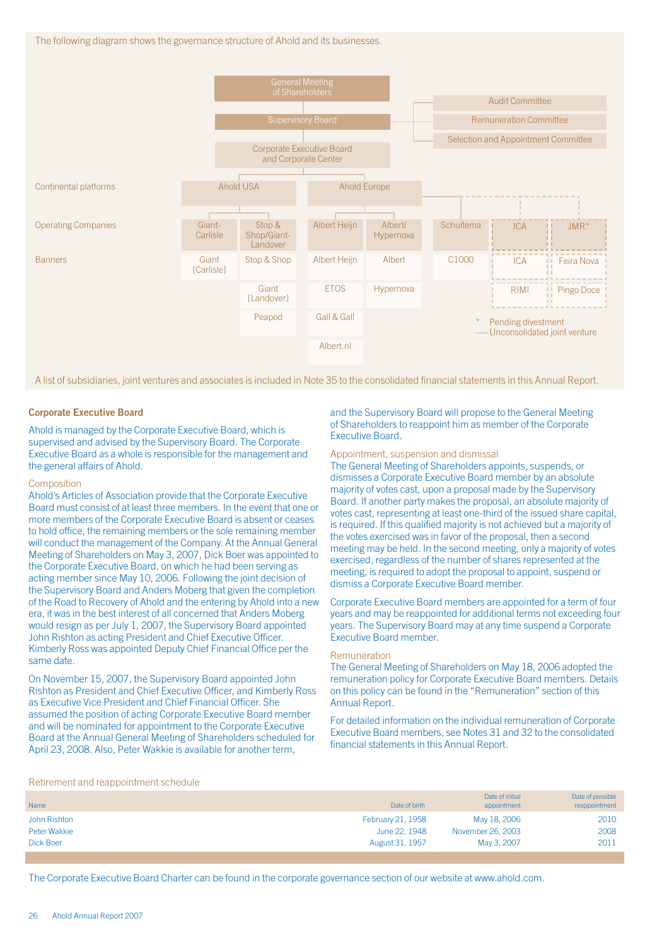The following diagram shows the governance structure of Ahold and its businesses.



A list of subsidiaries, joint ventures and associates is included in Note 35 to the consolidated financial statements in this Annual Report.

# Corporate Executive Board

Ahold is managed by the Corporate Executive Board, which is supervised and advised by the Supervisory Board. The Corporate Executive Board as a whole is responsible for the management and the general affairs of Ahold.

### Composition

Ahold's Articles of Association provide that the Corporate Executive Board must consist of at least three members. In the event that one or more members of the Corporate Executive Board is absent or ceases to hold office, the remaining members or the sole remaining member will conduct the management of the Company. At the Annual General Meeting of Shareholders on May 3, 2007, Dick Boer was appointed to the Corporate Executive Board, on which he had been serving as acting member since May 10, 2006. Following the joint decision of the Supervisory Board and Anders Moberg that given the completion of the Road to Recovery of Ahold and the entering by Ahold into a new era, it was in the best interest of all concerned that Anders Moberg would resign as per July 1, 2007, the Supervisory Board appointed John Rishton as acting President and Chief Executive Officer. Kimberly Ross was appointed Deputy Chief Financial Office per the same date.

On November 15, 2007, the Supervisory Board appointed John Rishton as President and Chief Executive Officer, and Kimberly Ross as Executive Vice President and Chief Financial Officer. She assumed the position of acting Corporate Executive Board member and will be nominated for appointment to the Corporate Executive Board at the Annual General Meeting of Shareholders scheduled for April 23, 2008. Also, Peter Wakkie is available for another term,

# and the Supervisory Board will propose to the General Meeting of Shareholders to reappoint him as member of the Corporate Executive Board.

### Appointment, suspension and dismissal

The General Meeting of Shareholders appoints, suspends, or dismisses a Corporate Executive Board member by an absolute majority of votes cast, upon a proposal made by the Supervisory Board. If another party makes the proposal, an absolute majority of votes cast, representing at least one-third of the issued share capital, is required. If this qualified majority is not achieved but a majority of the votes exercised was in favor of the proposal, then a second meeting may be held. In the second meeting, only a majority of votes exercised, regardless of the number of shares represented at the meeting, is required to adopt the proposal to appoint, suspend or dismiss a Corporate Executive Board member.

Corporate Executive Board members are appointed for a term of four years and may be reappointed for additional terms not exceeding four years. The Supervisory Board may at any time suspend a Corporate Executive Board member.

### Remuneration

The General Meeting of Shareholders on May 18, 2006 adopted the remuneration policy for Corporate Executive Board members. Details on this policy can be found in the "Remuneration" section of this Annual Report.

For detailed information on the individual remuneration of Corporate Executive Board members, see Notes 31 and 32 to the consolidated financial statements in this Annual Report.

### Retirement and reappointment schedule

| Name         | Date of birth     | Date of initial<br>appointment | Date of possible<br>reappointment |
|--------------|-------------------|--------------------------------|-----------------------------------|
| John Rishton | February 21, 1958 | May 18, 2006                   | 2010                              |
| Peter Wakkie | June 22, 1948     | November 26, 2003              | 2008                              |
| Dick Boer    | August 31, 1957   | May 3, 2007                    | 2011                              |

The Corporate Executive Board Charter can be found in the corporate governance section of our website at www.ahold.com.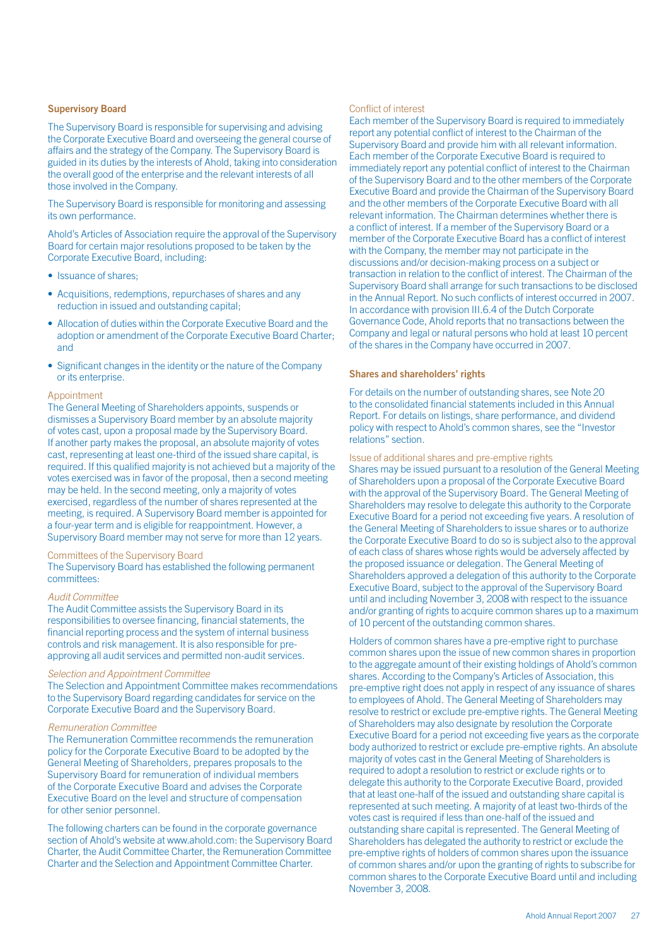# Supervisory Board

The Supervisory Board is responsible for supervising and advising the Corporate Executive Board and overseeing the general course of affairs and the strategy of the Company. The Supervisory Board is guided in its duties by the interests of Ahold, taking into consideration the overall good of the enterprise and the relevant interests of all those involved in the Company.

The Supervisory Board is responsible for monitoring and assessing its own performance.

Ahold's Articles of Association require the approval of the Supervisory Board for certain major resolutions proposed to be taken by the Corporate Executive Board, including:

- Issuance of shares;
- Acquisitions, redemptions, repurchases of shares and any reduction in issued and outstanding capital;
- Allocation of duties within the Corporate Executive Board and the adoption or amendment of the Corporate Executive Board Charter; and
- Significant changes in the identity or the nature of the Company or its enterprise.

# Appointment

The General Meeting of Shareholders appoints, suspends or dismisses a Supervisory Board member by an absolute majority of votes cast, upon a proposal made by the Supervisory Board. If another party makes the proposal, an absolute majority of votes cast, representing at least one-third of the issued share capital, is required. If this qualified majority is not achieved but a majority of the votes exercised was in favor of the proposal, then a second meeting may be held. In the second meeting, only a majority of votes exercised, regardless of the number of shares represented at the meeting, is required. A Supervisory Board member is appointed for a four-year term and is eligible for reappointment. However, a Supervisory Board member may not serve for more than 12 years.

# Committees of the Supervisory Board

The Supervisory Board has established the following permanent committees:

### *Audit Committee*

The Audit Committee assists the Supervisory Board in its responsibilities to oversee financing, financial statements, the financial reporting process and the system of internal business controls and risk management. It is also responsible for preapproving all audit services and permitted non-audit services.

# *Selection and Appointment Committee*

The Selection and Appointment Committee makes recommendations to the Supervisory Board regarding candidates for service on the Corporate Executive Board and the Supervisory Board.

# *Remuneration Committee*

The Remuneration Committee recommends the remuneration policy for the Corporate Executive Board to be adopted by the General Meeting of Shareholders, prepares proposals to the Supervisory Board for remuneration of individual members of the Corporate Executive Board and advises the Corporate Executive Board on the level and structure of compensation for other senior personnel.

The following charters can be found in the corporate governance section of Ahold's website at www.ahold.com: the Supervisory Board Charter, the Audit Committee Charter, the Remuneration Committee Charter and the Selection and Appointment Committee Charter.

# Conflict of interest

Each member of the Supervisory Board is required to immediately report any potential conflict of interest to the Chairman of the Supervisory Board and provide him with all relevant information. Each member of the Corporate Executive Board is required to immediately report any potential conflict of interest to the Chairman of the Supervisory Board and to the other members of the Corporate Executive Board and provide the Chairman of the Supervisory Board and the other members of the Corporate Executive Board with all relevant information. The Chairman determines whether there is a conflict of interest. If a member of the Supervisory Board or a member of the Corporate Executive Board has a conflict of interest with the Company, the member may not participate in the discussions and/or decision-making process on a subject or transaction in relation to the conflict of interest. The Chairman of the Supervisory Board shall arrange for such transactions to be disclosed in the Annual Report. No such conflicts of interest occurred in 2007. In accordance with provision III.6.4 of the Dutch Corporate Governance Code, Ahold reports that no transactions between the Company and legal or natural persons who hold at least 10 percent of the shares in the Company have occurred in 2007.

# Shares and shareholders' rights

For details on the number of outstanding shares, see Note 20 to the consolidated financial statements included in this Annual Report. For details on listings, share performance, and dividend policy with respect to Ahold's common shares, see the "Investor relations" section.

# Issue of additional shares and pre-emptive rights

Shares may be issued pursuant to a resolution of the General Meeting of Shareholders upon a proposal of the Corporate Executive Board with the approval of the Supervisory Board. The General Meeting of Shareholders may resolve to delegate this authority to the Corporate Executive Board for a period not exceeding five years. A resolution of the General Meeting of Shareholders to issue shares or to authorize the Corporate Executive Board to do so is subject also to the approval of each class of shares whose rights would be adversely affected by the proposed issuance or delegation. The General Meeting of Shareholders approved a delegation of this authority to the Corporate Executive Board, subject to the approval of the Supervisory Board until and including November 3, 2008 with respect to the issuance and/or granting of rights to acquire common shares up to a maximum of 10 percent of the outstanding common shares.

Holders of common shares have a pre-emptive right to purchase common shares upon the issue of new common shares in proportion to the aggregate amount of their existing holdings of Ahold's common shares. According to the Company's Articles of Association, this pre-emptive right does not apply in respect of any issuance of shares to employees of Ahold. The General Meeting of Shareholders may resolve to restrict or exclude pre-emptive rights. The General Meeting of Shareholders may also designate by resolution the Corporate Executive Board for a period not exceeding five years as the corporate body authorized to restrict or exclude pre-emptive rights. An absolute majority of votes cast in the General Meeting of Shareholders is required to adopt a resolution to restrict or exclude rights or to delegate this authority to the Corporate Executive Board, provided that at least one-half of the issued and outstanding share capital is represented at such meeting. A majority of at least two-thirds of the votes cast is required if less than one-half of the issued and outstanding share capital is represented. The General Meeting of Shareholders has delegated the authority to restrict or exclude the pre-emptive rights of holders of common shares upon the issuance of common shares and/or upon the granting of rights to subscribe for common shares to the Corporate Executive Board until and including November 3, 2008.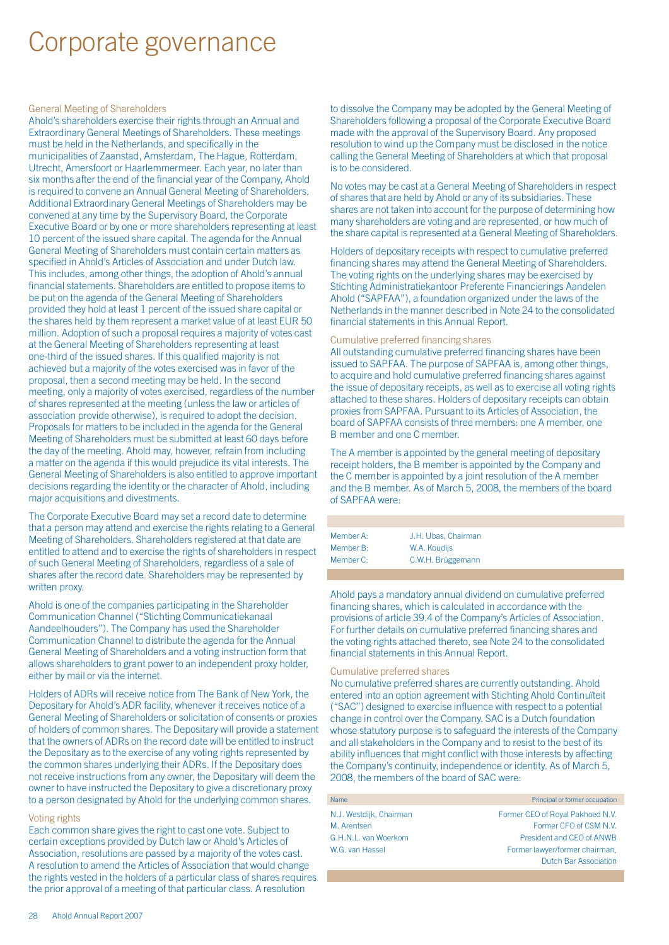# Corporate governance

### General Meeting of Shareholders

Ahold's shareholders exercise their rights through an Annual and Extraordinary General Meetings of Shareholders. These meetings must be held in the Netherlands, and specifically in the municipalities of Zaanstad, Amsterdam, The Hague, Rotterdam, Utrecht, Amersfoort or Haarlemmermeer. Each year, no later than six months after the end of the financial year of the Company, Ahold is required to convene an Annual General Meeting of Shareholders. Additional Extraordinary General Meetings of Shareholders may be convened at any time by the Supervisory Board, the Corporate Executive Board or by one or more shareholders representing at least 10 percent of the issued share capital. The agenda for the Annual General Meeting of Shareholders must contain certain matters as specified in Ahold's Articles of Association and under Dutch law. This includes, among other things, the adoption of Ahold's annual financial statements. Shareholders are entitled to propose items to be put on the agenda of the General Meeting of Shareholders provided they hold at least 1 percent of the issued share capital or the shares held by them represent a market value of at least EUR 50 million. Adoption of such a proposal requires a majority of votes cast at the General Meeting of Shareholders representing at least one-third of the issued shares. If this qualified majority is not achieved but a majority of the votes exercised was in favor of the proposal, then a second meeting may be held. In the second meeting, only a majority of votes exercised, regardless of the number of shares represented at the meeting (unless the law or articles of association provide otherwise), is required to adopt the decision. Proposals for matters to be included in the agenda for the General Meeting of Shareholders must be submitted at least 60 days before the day of the meeting. Ahold may, however, refrain from including a matter on the agenda if this would prejudice its vital interests. The General Meeting of Shareholders is also entitled to approve important decisions regarding the identity or the character of Ahold, including major acquisitions and divestments.

The Corporate Executive Board may set a record date to determine that a person may attend and exercise the rights relating to a General Meeting of Shareholders. Shareholders registered at that date are entitled to attend and to exercise the rights of shareholders in respect of such General Meeting of Shareholders, regardless of a sale of shares after the record date. Shareholders may be represented by written proxy.

Ahold is one of the companies participating in the Shareholder Communication Channel ("Stichting Communicatiekanaal Aandeelhouders"). The Company has used the Shareholder Communication Channel to distribute the agenda for the Annual General Meeting of Shareholders and a voting instruction form that allows shareholders to grant power to an independent proxy holder, either by mail or via the internet.

Holders of ADRs will receive notice from The Bank of New York, the Depositary for Ahold's ADR facility, whenever it receives notice of a General Meeting of Shareholders or solicitation of consents or proxies of holders of common shares. The Depositary will provide a statement that the owners of ADRs on the record date will be entitled to instruct the Depositary as to the exercise of any voting rights represented by the common shares underlying their ADRs. If the Depositary does not receive instructions from any owner, the Depositary will deem the owner to have instructed the Depositary to give a discretionary proxy to a person designated by Ahold for the underlying common shares.

### Voting rights

Each common share gives the right to cast one vote. Subject to certain exceptions provided by Dutch law or Ahold's Articles of Association, resolutions are passed by a majority of the votes cast. A resolution to amend the Articles of Association that would change the rights vested in the holders of a particular class of shares requires the prior approval of a meeting of that particular class. A resolution

to dissolve the Company may be adopted by the General Meeting of Shareholders following a proposal of the Corporate Executive Board made with the approval of the Supervisory Board. Any proposed resolution to wind up the Company must be disclosed in the notice calling the General Meeting of Shareholders at which that proposal is to be considered.

No votes may be cast at a General Meeting of Shareholders in respect of shares that are held by Ahold or any of its subsidiaries. These shares are not taken into account for the purpose of determining how many shareholders are voting and are represented, or how much of the share capital is represented at a General Meeting of Shareholders.

Holders of depositary receipts with respect to cumulative preferred financing shares may attend the General Meeting of Shareholders. The voting rights on the underlying shares may be exercised by Stichting Administratiekantoor Preferente Financierings Aandelen Ahold ("SAPFAA"), a foundation organized under the laws of the Netherlands in the manner described in Note 24 to the consolidated financial statements in this Annual Report.

# Cumulative preferred financing shares

All outstanding cumulative preferred financing shares have been issued to SAPFAA. The purpose of SAPFAA is, among other things, to acquire and hold cumulative preferred financing shares against the issue of depositary receipts, as well as to exercise all voting rights attached to these shares. Holders of depositary receipts can obtain proxies from SAPFAA. Pursuant to its Articles of Association, the board of SAPFAA consists of three members: one A member, one B member and one C member.

The A member is appointed by the general meeting of depositary receipt holders, the B member is appointed by the Company and the C member is appointed by a joint resolution of the A member and the B member. As of March 5, 2008, the members of the board of SAPFAA were:

| Member A: | J.H. Ubas. Chairman |  |
|-----------|---------------------|--|
| Member B: | W.A. Koudijs        |  |
| Member C: | C.W.H. Brüggemann   |  |

Ahold pays a mandatory annual dividend on cumulative preferred financing shares, which is calculated in accordance with the provisions of article 39.4 of the Company's Articles of Association. For further details on cumulative preferred financing shares and the voting rights attached thereto, see Note 24 to the consolidated financial statements in this Annual Report.

### Cumulative preferred shares

No cumulative preferred shares are currently outstanding. Ahold entered into an option agreement with Stichting Ahold Continuïteit ("SAC") designed to exercise influence with respect to a potential change in control over the Company. SAC is a Dutch foundation whose statutory purpose is to safeguard the interests of the Company and all stakeholders in the Company and to resist to the best of its ability influences that might conflict with those interests by affecting the Company's continuity, independence or identity. As of March 5, 2008, the members of the board of SAC were:

| Name                    | Principal or former occupation   |
|-------------------------|----------------------------------|
| N.J. Westdijk, Chairman | Former CEO of Royal Pakhoed N.V. |
| M. Arentsen             | Former CFO of CSM N.V.           |
| G.H.N.L. van Woerkom    | President and CEO of ANWB        |
| W.G. van Hassel         | Former lawyer/former chairman,   |
|                         | <b>Dutch Bar Association</b>     |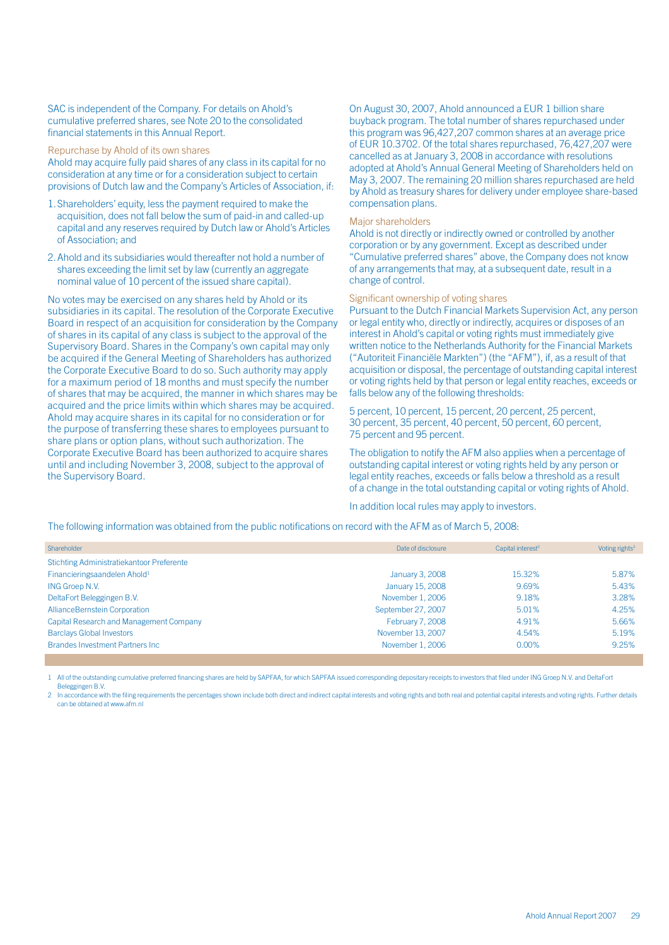SAC is independent of the Company. For details on Ahold's cumulative preferred shares, see Note 20 to the consolidated financial statements in this Annual Report.

#### Repurchase by Ahold of its own shares

Ahold may acquire fully paid shares of any class in its capital for no consideration at any time or for a consideration subject to certain provisions of Dutch law and the Company's Articles of Association, if:

- 1.Shareholders' equity, less the payment required to make the acquisition, does not fall below the sum of paid-in and called-up capital and any reserves required by Dutch law or Ahold's Articles of Association; and
- 2.Ahold and its subsidiaries would thereafter not hold a number of shares exceeding the limit set by law (currently an aggregate nominal value of 10 percent of the issued share capital).

No votes may be exercised on any shares held by Ahold or its subsidiaries in its capital. The resolution of the Corporate Executive Board in respect of an acquisition for consideration by the Company of shares in its capital of any class is subject to the approval of the Supervisory Board. Shares in the Company's own capital may only be acquired if the General Meeting of Shareholders has authorized the Corporate Executive Board to do so. Such authority may apply for a maximum period of 18 months and must specify the number of shares that may be acquired, the manner in which shares may be acquired and the price limits within which shares may be acquired. Ahold may acquire shares in its capital for no consideration or for the purpose of transferring these shares to employees pursuant to share plans or option plans, without such authorization. The Corporate Executive Board has been authorized to acquire shares until and including November 3, 2008, subject to the approval of the Supervisory Board.

On August 30, 2007, Ahold announced a EUR 1 billion share buyback program. The total number of shares repurchased under this program was 96,427,207 common shares at an average price of EUR 10.3702. Of the total shares repurchased, 76,427,207 were cancelled as at January 3, 2008 in accordance with resolutions adopted at Ahold's Annual General Meeting of Shareholders held on May 3, 2007. The remaining 20 million shares repurchased are held by Ahold as treasury shares for delivery under employee share-based compensation plans.

### Major shareholders

Ahold is not directly or indirectly owned or controlled by another corporation or by any government. Except as described under "Cumulative preferred shares" above, the Company does not know of any arrangements that may, at a subsequent date, result in a change of control.

### Significant ownership of voting shares

Pursuant to the Dutch Financial Markets Supervision Act, any person or legal entity who, directly or indirectly, acquires or disposes of an interest in Ahold's capital or voting rights must immediately give written notice to the Netherlands Authority for the Financial Markets ("Autoriteit Financiële Markten") (the "AFM"), if, as a result of that acquisition or disposal, the percentage of outstanding capital interest or voting rights held by that person or legal entity reaches, exceeds or falls below any of the following thresholds:

5 percent, 10 percent, 15 percent, 20 percent, 25 percent, 30 percent, 35 percent, 40 percent, 50 percent, 60 percent, 75 percent and 95 percent.

The obligation to notify the AFM also applies when a percentage of outstanding capital interest or voting rights held by any person or legal entity reaches, exceeds or falls below a threshold as a result of a change in the total outstanding capital or voting rights of Ahold.

In addition local rules may apply to investors.

The following information was obtained from the public notifications on record with the AFM as of March 5, 2008:

| Shareholder                               | Date of disclosure | Capital interest <sup>2</sup> | Voting rights <sup>2</sup> |
|-------------------------------------------|--------------------|-------------------------------|----------------------------|
| Stichting Administratiekantoor Preferente |                    |                               |                            |
| Financieringsaandelen Ahold <sup>1</sup>  | January 3, 2008    | 15.32%                        | 5.87%                      |
| ING Groep N.V.                            | January 15, 2008   | 9.69%                         | 5.43%                      |
| DeltaFort Beleggingen B.V.                | November 1, 2006   | 9.18%                         | 3.28%                      |
| AllianceBernstein Corporation             | September 27, 2007 | 5.01%                         | 4.25%                      |
| Capital Research and Management Company   | February 7, 2008   | 4.91%                         | 5.66%                      |
| <b>Barclays Global Investors</b>          | November 13, 2007  | 4.54%                         | 5.19%                      |
| <b>Brandes Investment Partners Inc.</b>   | November 1, 2006   | 0.00%                         | 9.25%                      |

1 All of the outstanding cumulative preferred financing shares are held by SAPFAA, for which SAPFAA issued corresponding depositary receipts to investors that filed under ING Groep N.V. and DeltaFort Beleggingen B.V.

2 In accordance with the filing requirements the percentages shown include both direct and indirect capital interests and voting rights and both real and potential capital interests and voting rights. Further details can be obtained at www.afm.nl